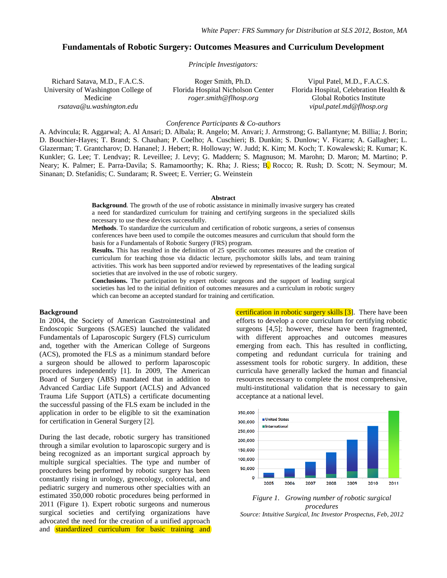# **Fundamentals of Robotic Surgery: Outcomes Measures and Curriculum Development**

*Principle Investigators:*

Richard Satava, M.D., F.A.C.S. University of Washington College of Medicine *rsatava@u.washington.edu*

Roger Smith, Ph.D. Florida Hospital Nicholson Center *roger.smith@flhosp.org*

Vipul Patel, M.D., F.A.C.S. Florida Hospital, Celebration Health & Global Robotics Institute *vipul.patel.md@flhosp.org*

#### *Conference Participants & Co-authors*

A. Advincula; R. Aggarwal; A. Al Ansari; D. Albala; R. Angelo; M. Anvari; J. Armstrong; G. Ballantyne; M. Billia; J. Borin; D. Bouchier-Hayes; T. Brand; S. Chauhan; P. Coelho; A. Cuschieri; B. Dunkin; S. Dunlow; V. Ficarra; A. Gallagher; L. Glazerman; T. Grantcharov; D. Hananel; J. Hebert; R. Holloway; W. Judd; K. Kim; M. Koch; T. Kowalewski; R. Kumar; K. Kunkler; G. Lee; T. Lendvay; R. Leveillee; J. Levy; G. Maddern; S. Magnuson; M. Marohn; D. Maron; M. Martino; P. Neary; K. Palmer; E. Parra-Davila; S. Ramamoorthy; K. Rha; J. Riess; B. Rocco; R. Rush; D. Scott; N. Seymour; M. Sinanan; D. Stefanidis; C. Sundaram; R. Sweet; E. Verrier; G. Weinstein

#### **Abstract**

**Background**. The growth of the use of robotic assistance in minimally invasive surgery has created a need for standardized curriculum for training and certifying surgeons in the specialized skills necessary to use these devices successfully.

**Methods**. To standardize the curriculum and certification of robotic surgeons, a series of consensus conferences have been used to compile the outcomes measures and curriculum that should form the basis for a Fundamentals of Robotic Surgery (FRS) program.

**Results.** This has resulted in the definition of 25 specific outcomes measures and the creation of curriculum for teaching those via didactic lecture, psychomotor skills labs, and team training activities. This work has been supported and/or reviewed by representatives of the leading surgical societies that are involved in the use of robotic surgery.

**Conclusions.** The participation by expert robotic surgeons and the support of leading surgical societies has led to the initial definition of outcomes measures and a curriculum in robotic surgery which can become an accepted standard for training and certification.

#### **Background**

In 2004, the Society of American Gastrointestinal and Endoscopic Surgeons (SAGES) launched the validated Fundamentals of Laparoscopic Surgery (FLS) curriculum and, together with the American College of Surgeons (ACS), promoted the FLS as a minimum standard before a surgeon should be allowed to perform laparoscopic procedures independently [1]. In 2009, The American Board of Surgery (ABS) mandated that in addition to Advanced Cardiac Life Support (ACLS) and Advanced Trauma Life Support (ATLS) a certificate documenting the successful passing of the FLS exam be included in the application in order to be eligible to sit the examination for certification in General Surgery [2].

During the last decade, robotic surgery has transitioned through a similar evolution to laparoscopic surgery and is being recognized as an important surgical approach by multiple surgical specialties. The type and number of procedures being performed by robotic surgery has been constantly rising in urology, gynecology, colorectal, and pediatric surgery and numerous other specialties with an estimated 350,000 robotic procedures being performed in 2011 (Figure 1). Expert robotic surgeons and numerous surgical societies and certifying organizations have advocated the need for the creation of a unified approach and standardized curriculum for basic training and certification in robotic surgery skills [3]. There have been efforts to develop a core curriculum for certifying robotic surgeons [4,5]; however, these have been fragmented, with different approaches and outcomes measures emerging from each. This has resulted in conflicting, competing and redundant curricula for training and assessment tools for robotic surgery. In addition, these curricula have generally lacked the human and financial resources necessary to complete the most comprehensive, multi-institutional validation that is necessary to gain acceptance at a national level.



*Figure 1. Growing number of robotic surgical procedures Source: Intuitive Surgical, Inc Investor Prospectus, Feb, 2012*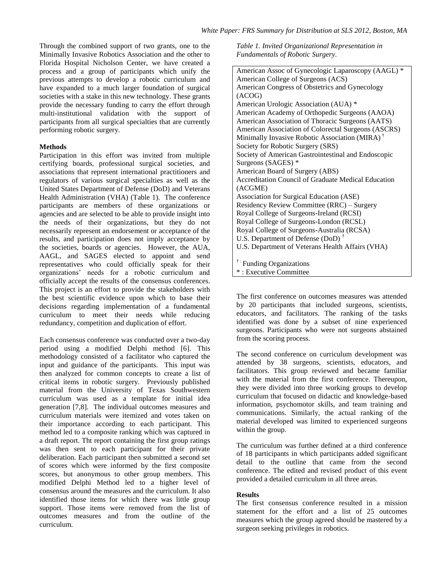Through the combined support of two grants, one to the Minimally Invasive Robotics Association and the other to Florida Hospital Nicholson Center, we have created a process and a group of participants which unify the previous attempts to develop a robotic curriculum and have expanded to a much larger foundation of surgical societies with a stake in this new technology. These grants provide the necessary funding to carry the effort through multi-institutional validation with the support of participants from all surgical specialties that are currently performing robotic surgery.

## **Methods**

Participation in this effort was invited from multiple certifying boards, professional surgical societies, and associations that represent international practitioners and regulators of various surgical specialties as well as the United States Department of Defense (DoD) and Veterans Health Administration (VHA) (Table 1). The conference participants are members of these organizations or agencies and are selected to be able to provide insight into the needs of their organizations, but they do not necessarily represent an endorsement or acceptance of the results, and participation does not imply acceptance by the societies, boards or agencies. However, the AUA, AAGL, and SAGES elected to appoint and send representatives who could officially speak for their organizations" needs for a robotic curriculum and officially accept the results of the consensus conferences. This project is an effort to provide the stakeholders with the best scientific evidence upon which to base their decisions regarding implementation of a fundamental curriculum to meet their needs while reducing redundancy, competition and duplication of effort.

Each consensus conference was conducted over a two-day period using a modified Delphi method [6]. This methodology consisted of a facilitator who captured the input and guidance of the participants. This input was then analyzed for common concepts to create a list of critical items in robotic surgery. Previously published material from the University of Texas Southwestern curriculum was used as a template for initial idea generation [7,8]. The individual outcomes measures and curriculum materials were itemized and votes taken on their importance according to each participant. This method led to a composite ranking which was captured in a draft report. Tht report containing the first group ratings was then sent to each participant for their private deliberation. Each participant then submitted a second set of scores which were informed by the first composite scores, but anonymous to other group members. This modified Delphi Method led to a higher level of consensus around the measures and the curriculum. It also identified those items for which there was little group support. Those items were removed from the list of outcomes measures and from the outline of the curriculum.

*Table 1. Invited Organizational Representation in Fundamentals of Robotic Surgery.*

| American Assoc of Gynecologic Laparoscopy (AAGL) *         |
|------------------------------------------------------------|
| American College of Surgeons (ACS)                         |
| American Congress of Obstetrics and Gynecology             |
| (ACOG)                                                     |
| American Urologic Association (AUA) *                      |
| American Academy of Orthopedic Surgeons (AAOA)             |
| American Association of Thoracic Surgeons (AATS)           |
| American Association of Colorectal Surgeons (ASCRS)        |
| Minimally Invasive Robotic Association (MIRA) <sup>†</sup> |
| Society for Robotic Surgery (SRS)                          |
| Society of American Gastrointestinal and Endoscopic        |
| Surgeons (SAGES) *                                         |
| American Board of Surgery (ABS)                            |
| <b>Accreditation Council of Graduate Medical Education</b> |
| (ACGME)                                                    |
| Association for Surgical Education (ASE)                   |
| Residency Review Committee (RRC) – Surgery                 |
| Royal College of Surgeons-Ireland (RCSI)                   |
| Royal College of Surgeons-London (RCSL)                    |
| Royal College of Surgeons-Australia (RCSA)                 |
| U.S. Department of Defense (DoD) <sup>†</sup>              |
| U.S. Department of Veterans Health Affairs (VHA)           |
|                                                            |
| <sup>†:</sup> Funding Organizations                        |
| *: Executive Committee                                     |

The first conference on outcomes measures was attended by 20 participants that included surgeons, scientists, educators, and facilitators. The ranking of the tasks identified was done by a subset of nine experienced surgeons. Participants who were not surgeons abstained from the scoring process.

The second conference on curriculum development was attended by 38 surgeons, scientists, educators, and facilitators. This group reviewed and became familiar with the material from the first conference. Thereupon, they were divided into three working groups to develop curriculum that focused on didactic and knowledge-based information, psychomotor skills, and team training and communications. Similarly, the actual ranking of the material developed was limited to experienced surgeons within the group.

The curriculum was further defined at a third conference of 18 participants in which participants added significant detail to the outline that came from the second conference. The edited and revised product of this event provided a detailed curriculum in all three areas.

### **Results**

The first consensus conference resulted in a mission statement for the effort and a list of 25 outcomes measures which the group agreed should be mastered by a surgeon seeking privileges in robotics.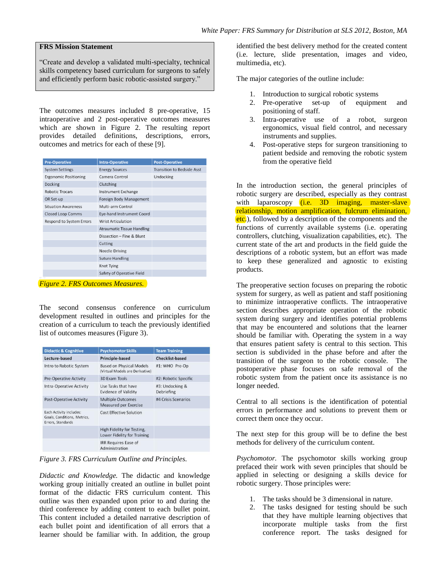#### **FRS Mission Statement**

"Create and develop a validated multi-specialty, technical skills competency based curriculum for surgeons to safely and efficiently perform basic robotic-assisted surgery."

The outcomes measures included 8 pre-operative, 15 intraoperative and 2 post-operative outcomes measures which are shown in Figure 2. The resulting report provides detailed definitions, descriptions, errors, outcomes and metrics for each of these [9].

| <b>Intra-Operative</b>            | <b>Post-Operative</b>             |
|-----------------------------------|-----------------------------------|
| <b>Energy Sources</b>             | <b>Transition to Bedside Asst</b> |
| Camera Control                    | Undocking                         |
| Clutching                         |                                   |
| <b>Instrument Exchange</b>        |                                   |
| Foreign Body Management           |                                   |
| Multi-arm Control                 |                                   |
| Eye-hand Instrument Coord         |                                   |
| <b>Wrist Articulation</b>         |                                   |
| <b>Atraumatic Tissue Handling</b> |                                   |
| Dissection - Fine & Blunt         |                                   |
| Cutting                           |                                   |
| <b>Needle Driving</b>             |                                   |
| <b>Suture Handling</b>            |                                   |
| Knot Tying                        |                                   |
| Safety of Operative Field         |                                   |
|                                   |                                   |

*Figure 2. FRS Outcomes Measures.*

The second consensus conference on curriculum development resulted in outlines and principles for the creation of a curriculum to teach the previously identified list of outcomes measures (Figure 3).

| <b>Didactic &amp; Cognitive</b>                                             | <b>Psychomotor Skills</b>                                          | <b>Team Training</b>          |
|-----------------------------------------------------------------------------|--------------------------------------------------------------------|-------------------------------|
| Lecture-based                                                               | <b>Principle-based</b>                                             | <b>Checklist-based</b>        |
| Intro to Robotic System                                                     | <b>Based on Physical Models</b><br>(Virtual Models are Derivative) | #1: WHO Pre-Op                |
| <b>Pre-Operative Activity</b>                                               | <b>3D Exam Tools</b>                                               | #2: Robotic Specific          |
| <b>Intra-Operative Activity</b>                                             | Use Tasks that have<br><b>Evidence of Validity</b>                 | #3: Undocking &<br>Debriefing |
| <b>Post-Operative Activity</b>                                              | <b>Multiple Outcomes</b><br><b>Measured per Exercise</b>           | #4 Crisis Scenarios           |
| Each Activity includes:<br>Goals, Conditions, Metrics,<br>Errors, Standards | <b>Cost Effective Solution</b>                                     |                               |
|                                                                             | High Fidelity for Testing,<br>Lower Fidelity for Training          |                               |
|                                                                             | <b>IRR Requires Ease of</b><br>Administration                      |                               |

*Figure 3. FRS Curriculum Outline and Principles.*

*Didactic and Knowledge.* The didactic and knowledge working group initially created an outline in bullet point format of the didactic FRS curriculum content. This outline was then expanded upon prior to and during the third conference by adding content to each bullet point. This content included a detailed narrative description of each bullet point and identification of all errors that a learner should be familiar with. In addition, the group

identified the best delivery method for the created content (i.e. lecture, slide presentation, images and video, multimedia, etc).

The major categories of the outline include:

- 1. Introduction to surgical robotic systems
- 2. Pre-operative set-up of equipment and positioning of staff.
- 3. Intra-operative use of a robot, surgeon ergonomics, visual field control, and necessary instruments and supplies.
- 4. Post-operative steps for surgeon transitioning to patient bedside and removing the robotic system from the operative field

In the introduction section, the general principles of robotic surgery are described, especially as they contrast with laparoscopy (*i.e.* 3D imaging, master-slave relationship, motion amplification, fulcrum elimination, etc.), followed by a description of the components and the functions of currently available systems (i.e. operating controllers, clutching, visualization capabilities, etc). The current state of the art and products in the field guide the descriptions of a robotic system, but an effort was made to keep these generalized and agnostic to existing products.

The preoperative section focuses on preparing the robotic system for surgery, as well as patient and staff positioning to minimize intraoperative conflicts. The intraoperative section describes appropriate operation of the robotic system during surgery and identifies potential problems that may be encountered and solutions that the learner should be familiar with. Operating the system in a way that ensures patient safety is central to this section. This section is subdivided in the phase before and after the transition of the surgeon to the robotic console. The postoperative phase focuses on safe removal of the robotic system from the patient once its assistance is no longer needed.

Central to all sections is the identification of potential errors in performance and solutions to prevent them or correct them once they occur.

The next step for this group will be to define the best methods for delivery of the curriculum content.

*Psychomotor.* The psychomotor skills working group prefaced their work with seven principles that should be applied in selecting or designing a skills device for robotic surgery. Those principles were:

- 1. The tasks should be 3 dimensional in nature.
- 2. The tasks designed for testing should be such that they have multiple learning objectives that incorporate multiple tasks from the first conference report. The tasks designed for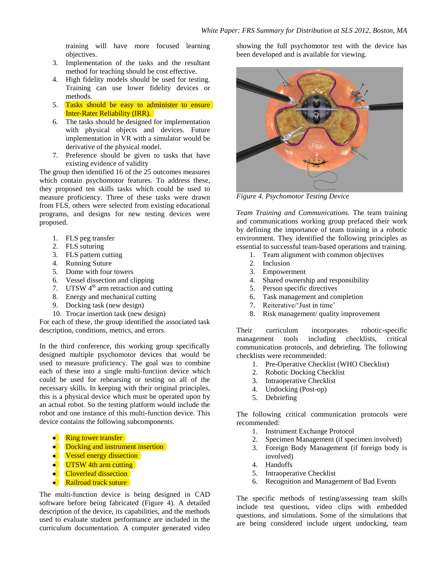training will have more focused learning objectives.

- 3. Implementation of the tasks and the resultant method for teaching should be cost effective.
- 4. High fidelity models should be used for testing. Training can use lower fidelity devices or methods.
- 5. Tasks should be easy to administer to ensure Inter-Rater Reliability (IRR).
- 6. The tasks should be designed for implementation with physical objects and devices. Future implementation in VR with a simulator would be derivative of the physical model.
- 7. Preference should be given to tasks that have existing evidence of validity

The group then identified 16 of the 25 outcomes measures which contain psychomotor features. To address these, they proposed ten skills tasks which could be used to measure proficiency. Three of these tasks were drawn from FLS, others were selected from existing educational programs, and designs for new testing devices were proposed.

- 1. FLS peg transfer
- 2. FLS suturing
- 3. FLS pattern cutting
- 4. Running Suture
- 5. Dome with four towers
- 6. Vessel dissection and clipping
- 7. UTSW  $4<sup>th</sup>$  arm retraction and cutting
- 8. Energy and mechanical cutting
- 9. Docking task (new design)
- 10. Trocar insertion task (new design)

For each of these, the group identified the associated task description, conditions, metrics, and errors.

In the third conference, this working group specifically designed multiple psychomotor devices that would be used to measure proficiency. The goal was to combine each of these into a single multi-function device which could be used for rehearsing or testing on all of the necessary skills. In keeping with their original principles, this is a physical device which must be operated upon by an actual robot. So the testing platform would include the robot and one instance of this multi-function device. This device contains the following subcomponents.

- Ring tower transfer  $\bullet$
- Docking and instrument insertion
- **Vessel energy dissection**
- $\bullet$  UTSW 4th arm cutting
- Cloverleaf dissection  $\bullet$
- $\bullet$ Railroad track suture

The multi-function device is being designed in CAD software before being fabricated (Figure 4). A detailed description of the device, its capabilities, and the methods used to evaluate student performance are included in the curriculum documentation. A computer generated video showing the full psychomotor test with the device has been developed and is available for viewing.



*Figure 4. Psychomotor Testing Device*

*Team Training and Communications.* The team training and communications working group prefaced their work by defining the importance of team training in a robotic environment. They identified the following principles as essential to successful team-based operations and training.

- 1. Team alignment with common objectives
- 2. Inclusion
- 3. Empowerment
- 4. Shared ownership and responsibility
- 5. Person specific directives
- 6. Task management and completion
- 7. Reiterative/'Just in time'
- 8. Risk management/ quality improvement

Their curriculum incorporates robotic-specific management tools including checklists, critical communication protocols, and debriefing. The following checklists were recommended:

- 1. Pre-Operative Checklist (WHO Checklist)
- 2. Robotic Docking Checklist
- 3. Intraoperative Checklist
- 4. Undocking (Post-op)
- 5. Debriefing

The following critical communication protocols were recommended:

- 1. Instrument Exchange Protocol
- 2. Specimen Management (if specimen involved)
- 3. Foreign Body Management (if foreign body is involved)
- 4. Handoffs
- 5. Intraoperative Checklist
- 6. Recognition and Management of Bad Events

The specific methods of testing/assessing team skills include test questions, video clips with embedded questions, and simulations. Some of the simulations that are being considered include urgent undocking, team